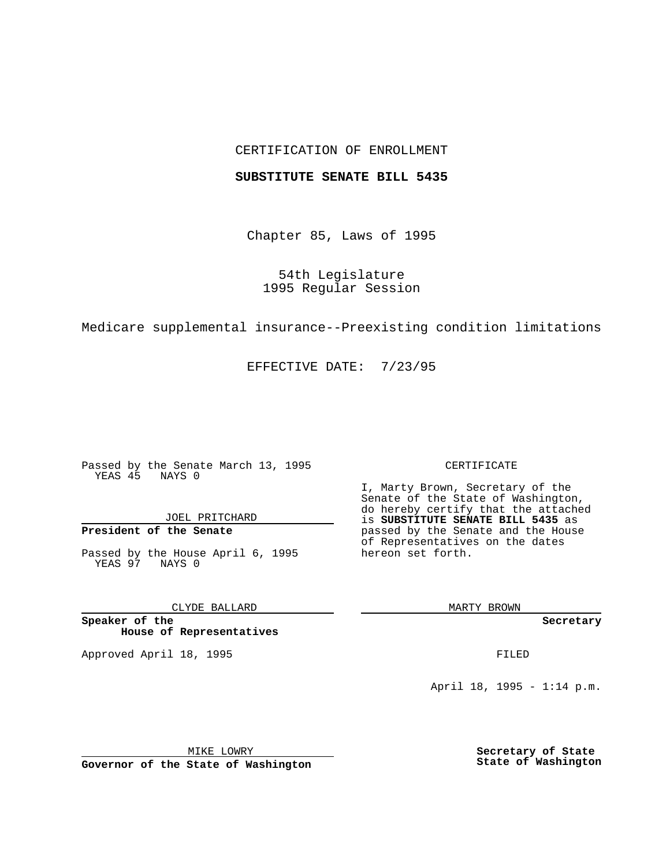### CERTIFICATION OF ENROLLMENT

### **SUBSTITUTE SENATE BILL 5435**

Chapter 85, Laws of 1995

54th Legislature 1995 Regular Session

Medicare supplemental insurance--Preexisting condition limitations

EFFECTIVE DATE: 7/23/95

Passed by the Senate March 13, 1995 YEAS 45 NAYS 0

JOEL PRITCHARD

# **President of the Senate**

Passed by the House April 6, 1995 YEAS 97 NAYS 0

CLYDE BALLARD

**Speaker of the House of Representatives**

Approved April 18, 1995 FILED

#### CERTIFICATE

I, Marty Brown, Secretary of the Senate of the State of Washington, do hereby certify that the attached is **SUBSTITUTE SENATE BILL 5435** as passed by the Senate and the House of Representatives on the dates hereon set forth.

MARTY BROWN

**Secretary**

April 18, 1995 - 1:14 p.m.

MIKE LOWRY **Governor of the State of Washington** **Secretary of State State of Washington**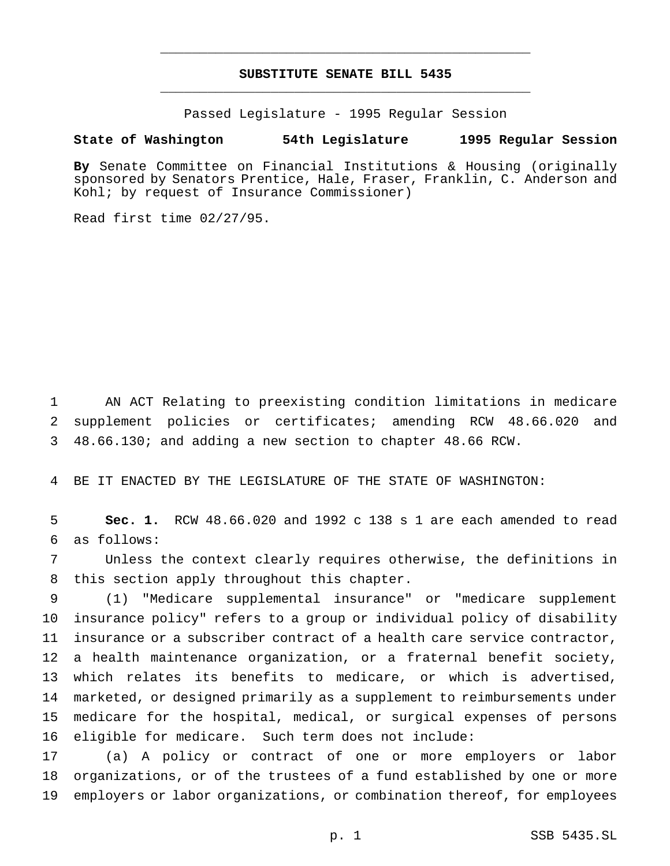# **SUBSTITUTE SENATE BILL 5435** \_\_\_\_\_\_\_\_\_\_\_\_\_\_\_\_\_\_\_\_\_\_\_\_\_\_\_\_\_\_\_\_\_\_\_\_\_\_\_\_\_\_\_\_\_\_\_

\_\_\_\_\_\_\_\_\_\_\_\_\_\_\_\_\_\_\_\_\_\_\_\_\_\_\_\_\_\_\_\_\_\_\_\_\_\_\_\_\_\_\_\_\_\_\_

Passed Legislature - 1995 Regular Session

## **State of Washington 54th Legislature 1995 Regular Session**

**By** Senate Committee on Financial Institutions & Housing (originally sponsored by Senators Prentice, Hale, Fraser, Franklin, C. Anderson and Kohl; by request of Insurance Commissioner)

Read first time 02/27/95.

 AN ACT Relating to preexisting condition limitations in medicare supplement policies or certificates; amending RCW 48.66.020 and 48.66.130; and adding a new section to chapter 48.66 RCW.

BE IT ENACTED BY THE LEGISLATURE OF THE STATE OF WASHINGTON:

 **Sec. 1.** RCW 48.66.020 and 1992 c 138 s 1 are each amended to read as follows:

 Unless the context clearly requires otherwise, the definitions in this section apply throughout this chapter.

 (1) "Medicare supplemental insurance" or "medicare supplement insurance policy" refers to a group or individual policy of disability insurance or a subscriber contract of a health care service contractor, a health maintenance organization, or a fraternal benefit society, which relates its benefits to medicare, or which is advertised, marketed, or designed primarily as a supplement to reimbursements under medicare for the hospital, medical, or surgical expenses of persons eligible for medicare. Such term does not include:

 (a) A policy or contract of one or more employers or labor organizations, or of the trustees of a fund established by one or more employers or labor organizations, or combination thereof, for employees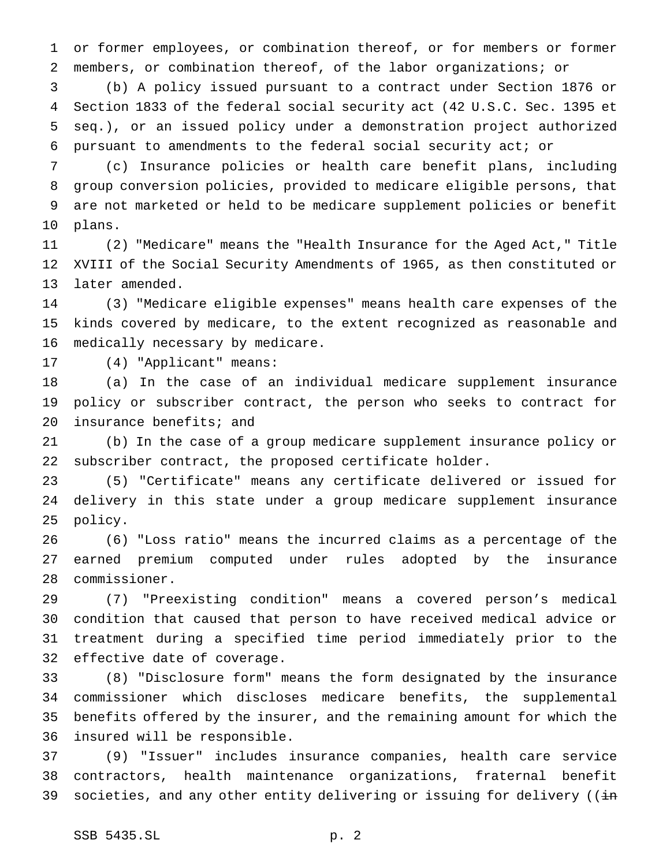or former employees, or combination thereof, or for members or former members, or combination thereof, of the labor organizations; or

 (b) A policy issued pursuant to a contract under Section 1876 or Section 1833 of the federal social security act (42 U.S.C. Sec. 1395 et seq.), or an issued policy under a demonstration project authorized pursuant to amendments to the federal social security act; or

 (c) Insurance policies or health care benefit plans, including group conversion policies, provided to medicare eligible persons, that are not marketed or held to be medicare supplement policies or benefit plans.

 (2) "Medicare" means the "Health Insurance for the Aged Act," Title XVIII of the Social Security Amendments of 1965, as then constituted or later amended.

 (3) "Medicare eligible expenses" means health care expenses of the kinds covered by medicare, to the extent recognized as reasonable and medically necessary by medicare.

(4) "Applicant" means:

 (a) In the case of an individual medicare supplement insurance policy or subscriber contract, the person who seeks to contract for insurance benefits; and

 (b) In the case of a group medicare supplement insurance policy or subscriber contract, the proposed certificate holder.

 (5) "Certificate" means any certificate delivered or issued for delivery in this state under a group medicare supplement insurance policy.

 (6) "Loss ratio" means the incurred claims as a percentage of the earned premium computed under rules adopted by the insurance commissioner.

 (7) "Preexisting condition" means a covered person's medical condition that caused that person to have received medical advice or treatment during a specified time period immediately prior to the effective date of coverage.

 (8) "Disclosure form" means the form designated by the insurance commissioner which discloses medicare benefits, the supplemental benefits offered by the insurer, and the remaining amount for which the insured will be responsible.

 (9) "Issuer" includes insurance companies, health care service contractors, health maintenance organizations, fraternal benefit 39 societies, and any other entity delivering or issuing for delivery (( $\pm$ n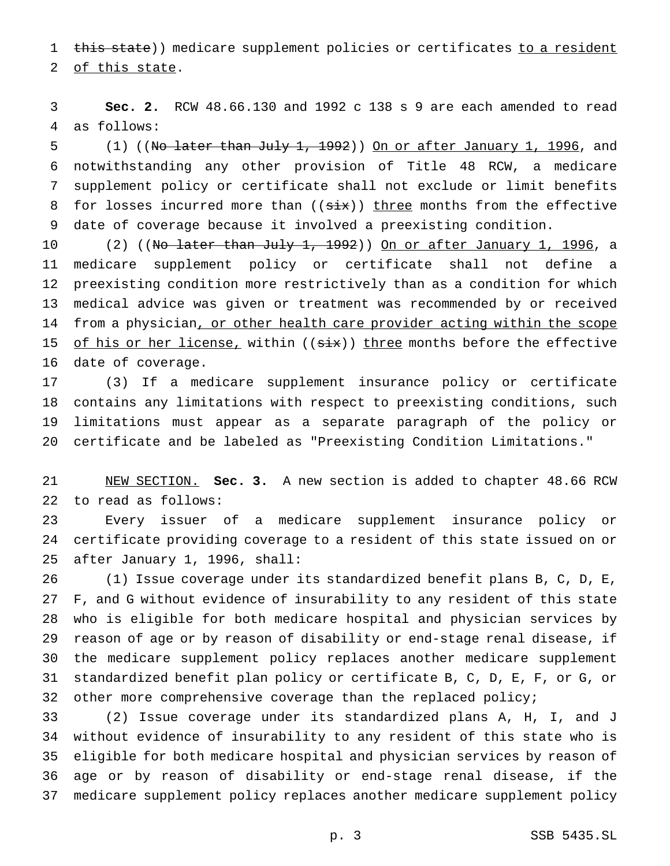1 this state)) medicare supplement policies or certificates to a resident

of this state.

 **Sec. 2.** RCW 48.66.130 and 1992 c 138 s 9 are each amended to read as follows:

5 (1) ((No later than July 1, 1992)) On or after January 1, 1996, and notwithstanding any other provision of Title 48 RCW, a medicare supplement policy or certificate shall not exclude or limit benefits 8 for losses incurred more than  $((six))$  three months from the effective date of coverage because it involved a preexisting condition.

10 (2) ((N<del>o later than July 1, 1992</del>)) <u>On or after January 1, 1996</u>, a medicare supplement policy or certificate shall not define a preexisting condition more restrictively than as a condition for which medical advice was given or treatment was recommended by or received 14 from a physician, or other health care provider acting within the scope 15 of his or her license, within  $((six))$  three months before the effective date of coverage.

 (3) If a medicare supplement insurance policy or certificate contains any limitations with respect to preexisting conditions, such limitations must appear as a separate paragraph of the policy or certificate and be labeled as "Preexisting Condition Limitations."

 NEW SECTION. **Sec. 3.** A new section is added to chapter 48.66 RCW to read as follows:

 Every issuer of a medicare supplement insurance policy or certificate providing coverage to a resident of this state issued on or after January 1, 1996, shall:

 (1) Issue coverage under its standardized benefit plans B, C, D, E, F, and G without evidence of insurability to any resident of this state who is eligible for both medicare hospital and physician services by reason of age or by reason of disability or end-stage renal disease, if the medicare supplement policy replaces another medicare supplement standardized benefit plan policy or certificate B, C, D, E, F, or G, or 32 other more comprehensive coverage than the replaced policy;

 (2) Issue coverage under its standardized plans A, H, I, and J without evidence of insurability to any resident of this state who is eligible for both medicare hospital and physician services by reason of age or by reason of disability or end-stage renal disease, if the medicare supplement policy replaces another medicare supplement policy